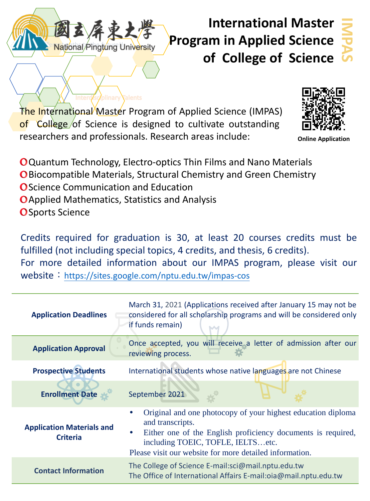

**Isc**/plinary **Talents** 

# **International Master Program in Applied Science of College of Science**

**IMPAS**

The International Master Program of Applied Science (IMPAS) of College of Science is designed to cultivate outstanding researchers and professionals. Research areas include:



**Online Application**

Quantum Technology, Electro-optics Thin Films and Nano Materials **O** Biocompatible Materials, Structural Chemistry and Green Chemistry **O** Science Communication and Education Applied Mathematics, Statistics and Analysis

**O** Sports Science

Credits required for graduation is 30, at least 20 courses credits must be fulfilled (not including special topics, 4 credits, and thesis, 6 credits). For more detailed information about our IMPAS program, please visit our website: <https://sites.google.com/nptu.edu.tw/impas-cos>

| <b>Application Deadlines</b>                        | March 31, 2021 (Applications received after January 15 may not be<br>considered for all scholarship programs and will be considered only<br>if funds remain)                                                                                                               |
|-----------------------------------------------------|----------------------------------------------------------------------------------------------------------------------------------------------------------------------------------------------------------------------------------------------------------------------------|
| <b>Application Approval</b>                         | Once accepted, you will receive a letter of admission after our<br>reviewing process.                                                                                                                                                                                      |
| <b>Prospective Students</b>                         | International students whose native languages are not Chinese                                                                                                                                                                                                              |
| <b>Enrollment Date</b>                              | September 2021                                                                                                                                                                                                                                                             |
| <b>Application Materials and</b><br><b>Criteria</b> | Original and one photocopy of your highest education diploma<br>$\bullet$<br>and transcripts.<br>Either one of the English proficiency documents is required,<br>$\bullet$<br>including TOEIC, TOFLE, IELTSetc.<br>Please visit our website for more detailed information. |
| <b>Contact Information</b>                          | The College of Science E-mail:sci@mail.nptu.edu.tw<br>The Office of International Affairs E-mail:oia@mail.nptu.edu.tw                                                                                                                                                      |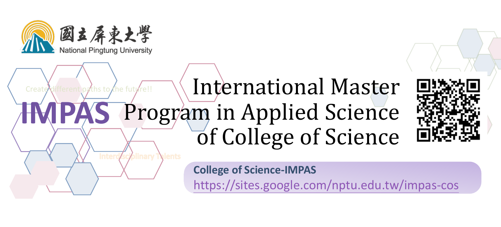

## Create different paths to the future!!  $\bigwedge$  International Master **Program** in Applied Science of College of Science **IMPAS**

∕olinary T\

alents



**College of Science-IMPAS**

<https://sites.google.com/nptu.edu.tw/impas-cos>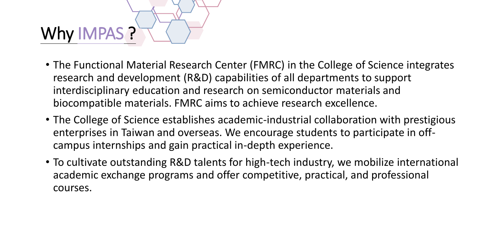

- The Functional Material Research Center (FMRC) in the College of Science integrates research and development (R&D) capabilities of all departments to support interdisciplinary education and research on semiconductor materials and biocompatible materials. FMRC aims to achieve research excellence.
- The College of Science establishes academic-industrial collaboration with prestigious enterprises in Taiwan and overseas. We encourage students to participate in offcampus internships and gain practical in-depth experience.
- To cultivate outstanding R&D talents for high-tech industry, we mobilize international academic exchange programs and offer competitive, practical, and professional courses.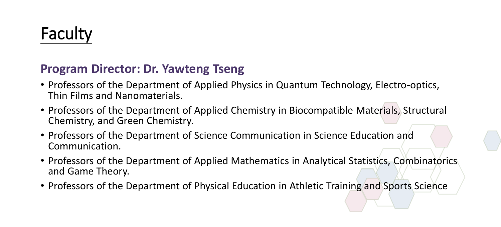# Faculty

#### **Program Director: Dr. Yawteng Tseng**

- Professors of the Department of Applied Physics in Quantum Technology, Electro-optics, Thin Films and Nanomaterials.
- Professors of the Department of Applied Chemistry in Biocompatible Materials, Structural Chemistry, and Green Chemistry.
- Professors of the Department of Science Communication in Science Education and Communication.
- Professors of the Department of Applied Mathematics in Analytical Statistics, Combinatorics and Game Theory.
- Professors of the Department of Physical Education in Athletic Training and Sports Science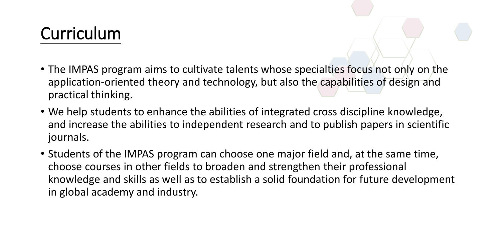# Curriculum

- The IMPAS program aims to cultivate talents whose specialties focus not only on the application-oriented theory and technology, but also the capabilities of design and practical thinking.
- We help students to enhance the abilities of integrated cross discipline knowledge, and increase the abilities to independent research and to publish papers in scientific journals.
- Students of the IMPAS program can choose one major field and, at the same time, choose courses in other fields to broaden and strengthen their professional knowledge and skills as well as to establish a solid foundation for future development in global academy and industry.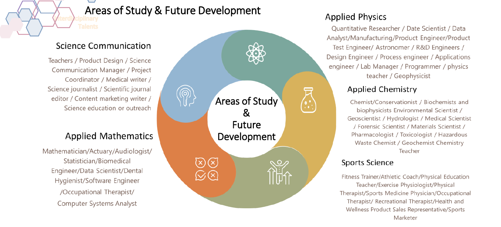#### Areas of Study & Future Development

#### Science Communication

Teachers / Product Design / Science Communication Manager / Project Coordinator / Medical writer / Science journalist / Scientific journal editor / Content marketing writer / Science education or outreach

#### **Applied Mathematics**

Mathematician/Actuary/Audiologist/ Statistician/Biomedical Engineer/Data Scientist/Dental Hygienist/Software Engineer /Occupational Therapist/ **Computer Systems Analyst** 



#### **Applied Physics**

Ouantitative Researcher / Date Scientist / Data Analyst/Manufacturing/Product Engineer/Product Test Engineer/ Astronomer / R&D Engineers / Design Engineer / Process engineer / Applications engineer / Lab Manager / Programmer / physics teacher / Geophysicist

#### **Applied Chemistry**

Chemist/Conservationist / Biochemists and biophysicists Environmental Scientist / Geoscientist / Hydrologist / Medical Scientist / Forensic Scientist / Materials Scientist / Pharmacologist / Toxicologist / Hazardous Waste Chemist / Geochemist Chemistry Teacher

#### **Sports Science**

Fitness Trainer/Athletic Coach/Physical Education Teacher/Exercise Physiologist/Physical Therapist/Sports Medicine Physician/Occupational Therapist/ Recreational Therapist/Health and Wellness Product Sales Representative/Sports Marketer